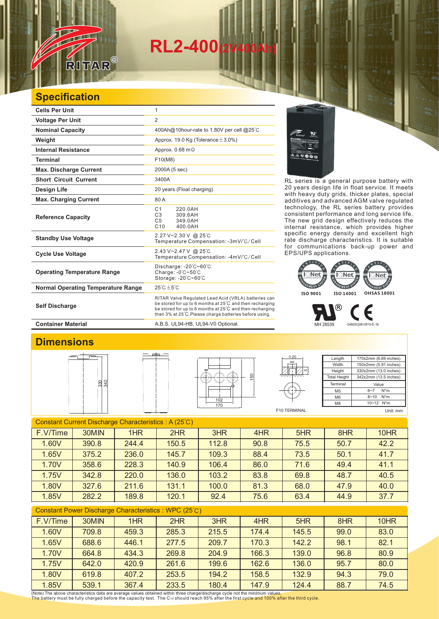## **RL2-400(2V400Ah)**

## **Specification**

RITAR

 $\circledR$ 

| <b>Cells Per Unit</b>                     | 1                                                                                                                                                                                                                                      |  |  |  |
|-------------------------------------------|----------------------------------------------------------------------------------------------------------------------------------------------------------------------------------------------------------------------------------------|--|--|--|
| <b>Voltage Per Unit</b>                   | $\overline{2}$                                                                                                                                                                                                                         |  |  |  |
| <b>Nominal Capacity</b>                   | 400Ah@10hour-rate to 1.80V per cell @25°C                                                                                                                                                                                              |  |  |  |
| Weight                                    | Approx. 19.0 Kg (Tolerance $\pm$ 3.0%)                                                                                                                                                                                                 |  |  |  |
| <b>Internal Resistance</b>                | Approx. $0.68$ m $\Omega$                                                                                                                                                                                                              |  |  |  |
| <b>Terminal</b>                           | F10(M8)                                                                                                                                                                                                                                |  |  |  |
| <b>Max. Discharge Current</b>             | 2000A (5 sec)                                                                                                                                                                                                                          |  |  |  |
| <b>Short Circuit Current</b>              | 3400A                                                                                                                                                                                                                                  |  |  |  |
| Design Life                               | 20 years (Float charging)                                                                                                                                                                                                              |  |  |  |
| <b>Max. Charging Current</b>              | 80 A                                                                                                                                                                                                                                   |  |  |  |
| <b>Reference Capacity</b>                 | C <sub>1</sub><br>220.0AH<br>C <sub>3</sub><br>309.6AH<br>C <sub>5</sub><br>349.0AH<br>C10<br>400.0AH                                                                                                                                  |  |  |  |
| <b>Standby Use Voltage</b>                | 2.27 V~2.30 V @ 25°C<br>Temperature Compensation: -3mV/°C/Cell                                                                                                                                                                         |  |  |  |
| <b>Cycle Use Voltage</b>                  | 2.43 V~2.47 V @ 25°C<br>Temperature Compensation: -4mV/°C/Cell                                                                                                                                                                         |  |  |  |
| <b>Operating Temperature Range</b>        | Discharge: -20°C~60°C<br>Charge: $-0^\circ$ C $-50^\circ$ C<br>Storage: -20°C~60°C                                                                                                                                                     |  |  |  |
| <b>Normal Operating Temperature Range</b> | $25^{\circ}$ C + 5 $^{\circ}$ C                                                                                                                                                                                                        |  |  |  |
| <b>Self Discharge</b>                     | RITAR Valve Regulated Lead Acid (VRLA) batteries can<br>be stored for up to 6 months at 25°C and then recharging<br>be stored for up to 6 months at 25°C and then recharging<br>than 3% at 25°C. Please charge batteries before using. |  |  |  |

RL series is a general purpose battery with 20 years design life in float service. It meets with heavy duty grids, thicker plates, special additives and advanced AGM valve regulated technology, the RL series battery provides consistent performance and long service life. The new grid design effectively reduces the internal resistance, which provides higher specific energy density and excellent high rate discharge characteristics. It is suitable for communications back-up power and EPS/UPS applications.



MH 28539 G4M20206-0910-E-16

**Container Material Container Material A.B.S. UL94-HB, UL94-V0 Optional.** 

## **Dimensions**







| Length              | 170±2mm (6.69 inches)      |  |  |  |
|---------------------|----------------------------|--|--|--|
| Width               | 150±2mm (5.91 inches)      |  |  |  |
| Height              | 330±2mm (13.0 inches)      |  |  |  |
| <b>Total Height</b> | 342±2mm (13.5 inches)      |  |  |  |
| Terminal            | Value                      |  |  |  |
| M <sub>5</sub>      | $N^*m$<br>$6 - 7$          |  |  |  |
| M <sub>6</sub>      | $N^*m$<br>$8 - 10$         |  |  |  |
| M <sub>8</sub>      | $10 - 12$ N <sup>*</sup> m |  |  |  |

F10 TERMINAL

 $\Phi$  20

5

Unit: mm

| Constant Current Discharge Characteristics: A (25°C) |       |       |       |       |      |      |      |      |
|------------------------------------------------------|-------|-------|-------|-------|------|------|------|------|
| F.V/Time                                             | 30MIN | 1HR   | 2HR   | 3HR   | 4HR  | 5HR  | 8HR  | 10HR |
| 1.60V                                                | 390.8 | 244.4 | 150.5 | 112.8 | 90.8 | 75.5 | 50.7 | 42.2 |
| 1.65V                                                | 375.2 | 236.0 | 145.7 | 109.3 | 88.4 | 73.5 | 50.1 | 41.7 |
| 1.70V                                                | 358.6 | 228.3 | 140.9 | 106.4 | 86.0 | 71.6 | 49.4 | 41.1 |
| 1.75V                                                | 342.8 | 220.0 | 136.0 | 103.2 | 83.8 | 69.8 | 48.7 | 40.5 |
| 1.80V                                                | 327.6 | 211.6 | 131.1 | 100.0 | 81.3 | 68.0 | 47.9 | 40.0 |
| 1.85V                                                | 282.2 | 189.8 | 120.1 | 92.4  | 75.6 | 63.4 | 44.9 | 37.7 |
|                                                      |       |       |       |       |      |      |      |      |

| Constant Power Discharge Characteristics : WPC (25°C) |       |       |       |       |       |       |      |      |
|-------------------------------------------------------|-------|-------|-------|-------|-------|-------|------|------|
| F.V/Time                                              | 30MIN | 1HR   | 2HR   | 3HR   | 4HR   | 5HR   | 8HR  | 10HR |
| 1.60V                                                 | 709.8 | 459.3 | 285.3 | 215.5 | 174.4 | 145.5 | 99.0 | 83.0 |
| 1.65V                                                 | 688.6 | 446.1 | 277.5 | 209.7 | 170.3 | 142.2 | 98.1 | 82.1 |
| 1.70V                                                 | 664.8 | 434.3 | 269.8 | 204.9 | 166.3 | 139.0 | 96.8 | 80.9 |
| 1.75V                                                 | 642.0 | 420.9 | 261.6 | 199.6 | 162.6 | 136.0 | 95.7 | 80.0 |
| 1.80V                                                 | 619.8 | 407.2 | 253.5 | 194.2 | 158.5 | 132.9 | 94.3 | 79.0 |
| 1.85V                                                 | 539.1 | 367.4 | 233.5 | 180.4 | 147.9 | 124.4 | 88.7 | 74.5 |

(Note) The above characteristics data are average values obtained within three charge/discharge cycle not the minimum values.<br>The battery must be fully charged before the capacity test. The C10 should reach 95% after the